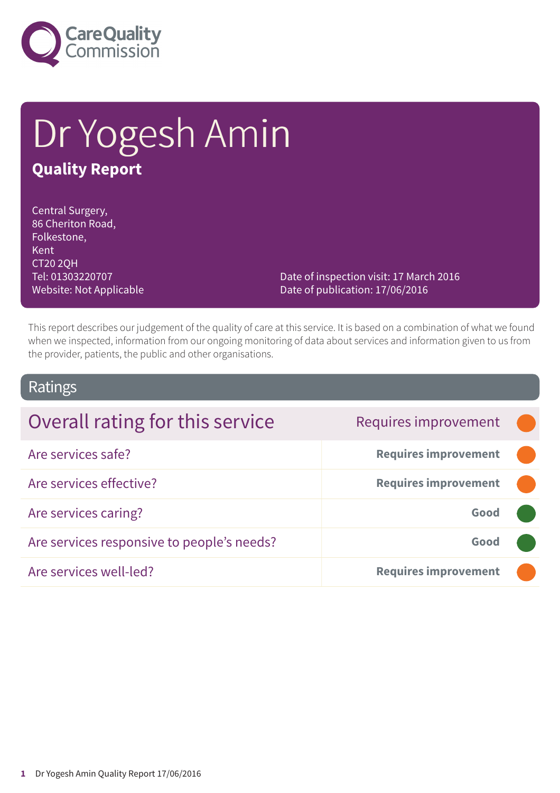

# Dr Yogesh Amin **Quality Report**

Central Surgery, 86 Cheriton Road, Folkestone, Kent CT20 2QH Tel: 01303220707 Website: Not Applicable

Date of inspection visit: 17 March 2016 Date of publication: 17/06/2016

This report describes our judgement of the quality of care at this service. It is based on a combination of what we found when we inspected, information from our ongoing monitoring of data about services and information given to us from the provider, patients, the public and other organisations.

### Ratings

| Overall rating for this service            | Requires improvement        |  |
|--------------------------------------------|-----------------------------|--|
| Are services safe?                         | <b>Requires improvement</b> |  |
| Are services effective?                    | <b>Requires improvement</b> |  |
| Are services caring?                       | Good                        |  |
| Are services responsive to people's needs? | Good                        |  |
| Are services well-led?                     | <b>Requires improvement</b> |  |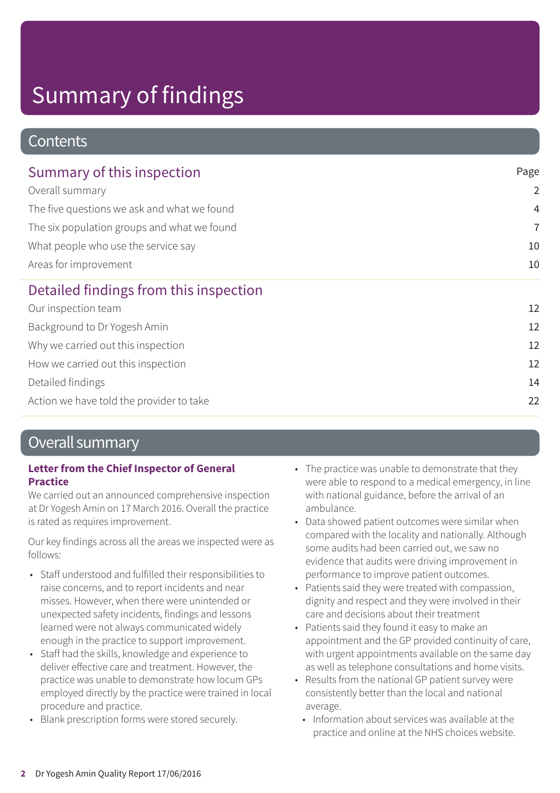### **Contents**

| Summary of this inspection                  | Page<br>$\overline{2}$ |
|---------------------------------------------|------------------------|
| Overall summary                             |                        |
| The five questions we ask and what we found | $\overline{4}$         |
| The six population groups and what we found | $\overline{7}$         |
| What people who use the service say         | 10<br>10               |
| Areas for improvement                       |                        |
| Detailed findings from this inspection      |                        |
| Our inspection team                         | 12                     |
| Background to Dr Yogesh Amin                | 12                     |
| Why we carried out this inspection          | 12                     |
| How we carried out this inspection          | 12                     |
| Detailed findings                           | 14                     |
| Action we have told the provider to take    | 22                     |

### Overall summary

### **Letter from the Chief Inspector of General Practice**

We carried out an announced comprehensive inspection at Dr Yogesh Amin on 17 March 2016. Overall the practice is rated as requires improvement.

Our key findings across all the areas we inspected were as follows:

- Staff understood and fulfilled their responsibilities to raise concerns, and to report incidents and near misses. However, when there were unintended or unexpected safety incidents, findings and lessons learned were not always communicated widely enough in the practice to support improvement.
- Staff had the skills, knowledge and experience to deliver effective care and treatment. However, the practice was unable to demonstrate how locum GPs employed directly by the practice were trained in local procedure and practice.
- Blank prescription forms were stored securely.
- The practice was unable to demonstrate that they were able to respond to a medical emergency, in line with national guidance, before the arrival of an ambulance.
- Data showed patient outcomes were similar when compared with the locality and nationally. Although some audits had been carried out, we saw no evidence that audits were driving improvement in performance to improve patient outcomes.
- Patients said they were treated with compassion, dignity and respect and they were involved in their care and decisions about their treatment
- Patients said they found it easy to make an appointment and the GP provided continuity of care, with urgent appointments available on the same day as well as telephone consultations and home visits.
- Results from the national GP patient survey were consistently better than the local and national average.
	- Information about services was available at the practice and online at the NHS choices website.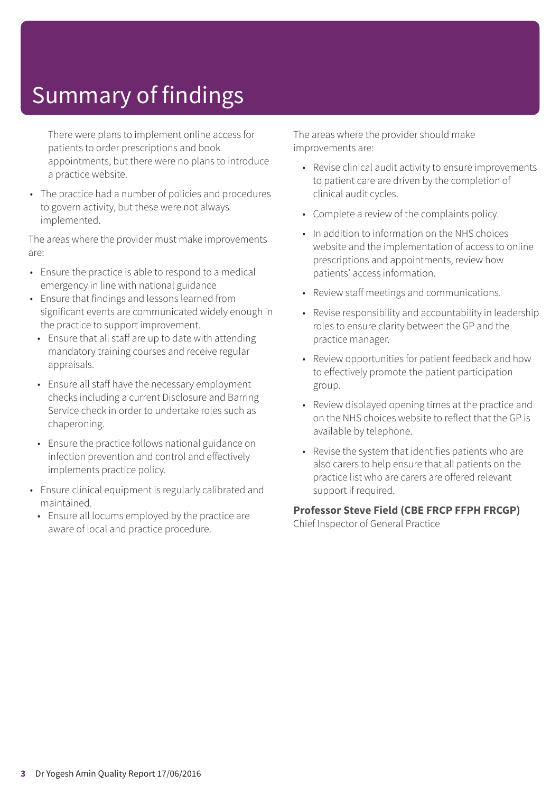There were plans to implement online access for patients to order prescriptions and book appointments, but there were no plans to introduce a practice website.

• The practice had a number of policies and procedures to govern activity, but these were not always implemented.

The areas where the provider must make improvements are:

- Ensure the practice is able to respond to a medical emergency in line with national guidance
- Ensure that findings and lessons learned from significant events are communicated widely enough in the practice to support improvement.
	- Ensure that all staff are up to date with attending mandatory training courses and receive regular appraisals.
	- Ensure all staff have the necessary employment checks including a current Disclosure and Barring Service check in order to undertake roles such as chaperoning.
	- Ensure the practice follows national guidance on infection prevention and control and effectively implements practice policy.
- Ensure clinical equipment is regularly calibrated and maintained.
	- Ensure all locums employed by the practice are aware of local and practice procedure.

The areas where the provider should make improvements are:

- Revise clinical audit activity to ensure improvements to patient care are driven by the completion of clinical audit cycles.
- Complete a review of the complaints policy.
- In addition to information on the NHS choices website and the implementation of access to online prescriptions and appointments, review how patients' access information.
- Review staff meetings and communications.
- Revise responsibility and accountability in leadership roles to ensure clarity between the GP and the practice manager.
- Review opportunities for patient feedback and how to effectively promote the patient participation group.
- Review displayed opening times at the practice and on the NHS choices website to reflect that the GP is available by telephone.
- Revise the system that identifies patients who are also carers to help ensure that all patients on the practice list who are carers are offered relevant support if required.

#### **Professor Steve Field (CBE FRCP FFPH FRCGP)**

Chief Inspector of General Practice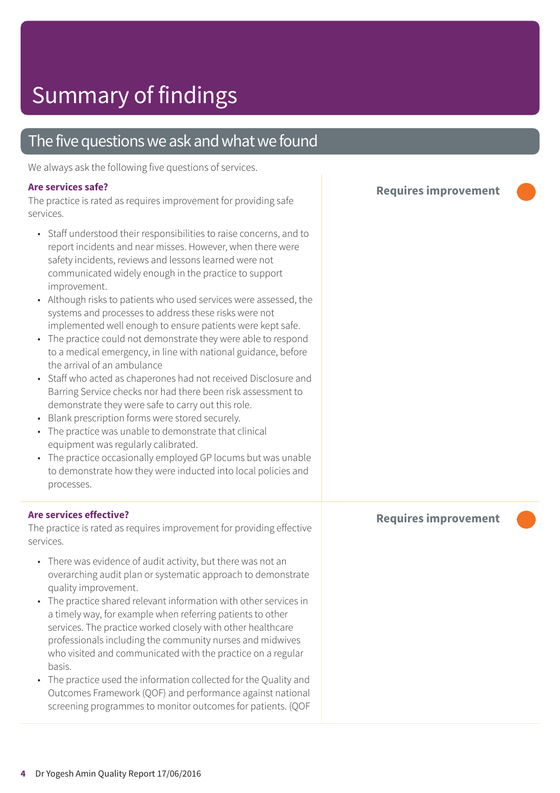### The five questions we ask and what we found

We always ask the following five questions of services.

#### **Are services safe?**

The practice is rated as requires improvement for providing safe services.

- Staff understood their responsibilities to raise concerns, and to report incidents and near misses. However, when there were safety incidents, reviews and lessons learned were not communicated widely enough in the practice to support improvement.
- Although risks to patients who used services were assessed, the systems and processes to address these risks were not implemented well enough to ensure patients were kept safe.
- The practice could not demonstrate they were able to respond to a medical emergency, in line with national guidance, before the arrival of an ambulance
- Staff who acted as chaperones had not received Disclosure and Barring Service checks nor had there been risk assessment to demonstrate they were safe to carry out this role.
- Blank prescription forms were stored securely.
- The practice was unable to demonstrate that clinical equipment was regularly calibrated.
- The practice occasionally employed GP locums but was unable to demonstrate how they were inducted into local policies and processes.

#### **Are services effective?**

The practice is rated as requires improvement for providing effective services.

- There was evidence of audit activity, but there was not an overarching audit plan or systematic approach to demonstrate quality improvement.
- The practice shared relevant information with other services in a timely way, for example when referring patients to other services. The practice worked closely with other healthcare professionals including the community nurses and midwives who visited and communicated with the practice on a regular basis.
- The practice used the information collected for the Quality and Outcomes Framework (QOF) and performance against national screening programmes to monitor outcomes for patients. (QOF

**Requires improvement –––**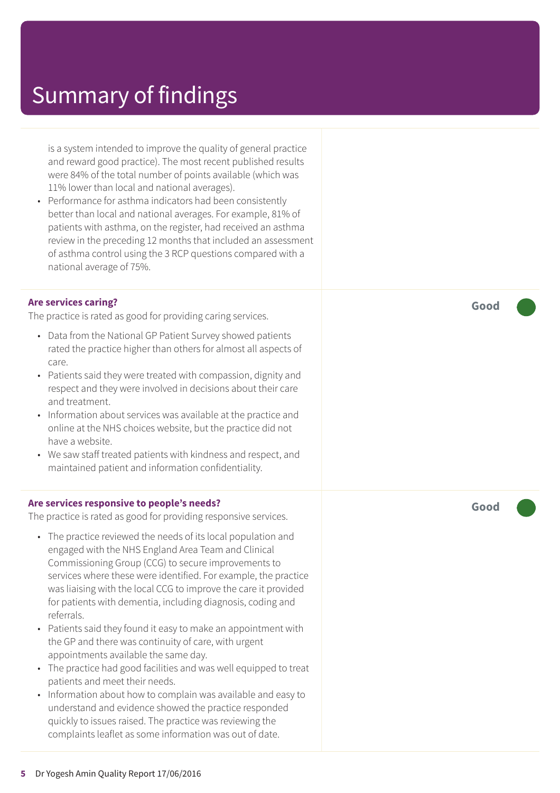is a system intended to improve the quality of general practice and reward good practice). The most recent published results were 84% of the total number of points available (which was 11% lower than local and national averages).

• Performance for asthma indicators had been consistently better than local and national averages. For example, 81% of patients with asthma, on the register, had received an asthma review in the preceding 12 months that included an assessment of asthma control using the 3 RCP questions compared with a national average of 75%.

#### **Are services caring?**

The practice is rated as good for providing caring services.

- Data from the National GP Patient Survey showed patients rated the practice higher than others for almost all aspects of care.
- Patients said they were treated with compassion, dignity and respect and they were involved in decisions about their care and treatment.
- Information about services was available at the practice and online at the NHS choices website, but the practice did not have a website.
- We saw staff treated patients with kindness and respect, and maintained patient and information confidentiality.

#### **Are services responsive to people's needs?**

The practice is rated as good for providing responsive services.

- The practice reviewed the needs of its local population and engaged with the NHS England Area Team and Clinical Commissioning Group (CCG) to secure improvements to services where these were identified. For example, the practice was liaising with the local CCG to improve the care it provided for patients with dementia, including diagnosis, coding and referrals.
- Patients said they found it easy to make an appointment with the GP and there was continuity of care, with urgent appointments available the same day.
- The practice had good facilities and was well equipped to treat patients and meet their needs.
- Information about how to complain was available and easy to understand and evidence showed the practice responded quickly to issues raised. The practice was reviewing the complaints leaflet as some information was out of date.

**Good –––**

**Good –––**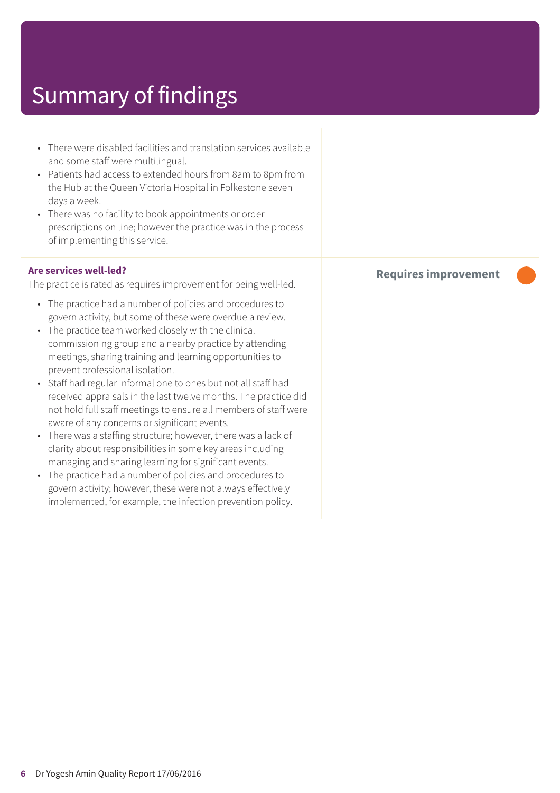- There were disabled facilities and translation services available and some staff were multilingual.
- Patients had access to extended hours from 8am to 8pm from the Hub at the Queen Victoria Hospital in Folkestone seven days a week.
- There was no facility to book appointments or order prescriptions on line; however the practice was in the process of implementing this service.

#### **Are services well-led?**

The practice is rated as requires improvement for being well-led.

- The practice had a number of policies and procedures to govern activity, but some of these were overdue a review.
- The practice team worked closely with the clinical commissioning group and a nearby practice by attending meetings, sharing training and learning opportunities to prevent professional isolation.
- Staff had regular informal one to ones but not all staff had received appraisals in the last twelve months. The practice did not hold full staff meetings to ensure all members of staff were aware of any concerns or significant events.
- There was a staffing structure; however, there was a lack of clarity about responsibilities in some key areas including managing and sharing learning for significant events.
- The practice had a number of policies and procedures to govern activity; however, these were not always effectively implemented, for example, the infection prevention policy.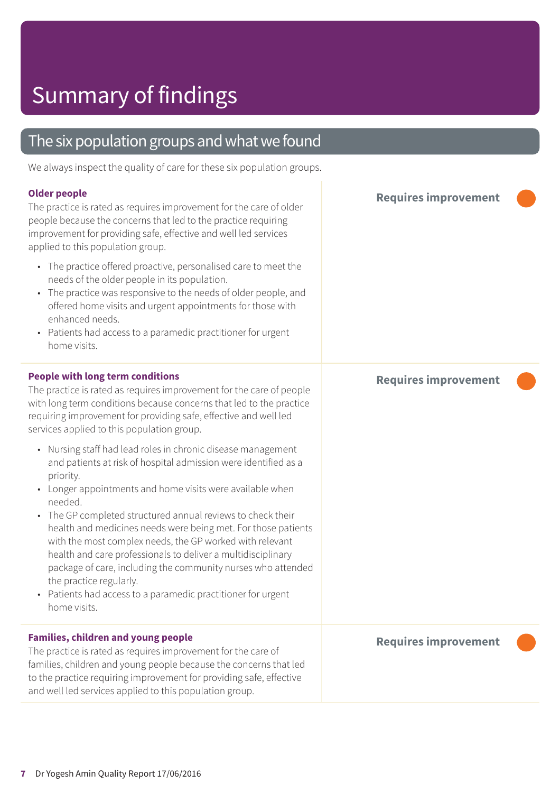### The six population groups and what we found

We always inspect the quality of care for these six population groups.

#### **Older people**

The practice is rated as requires improvement for the care of older people because the concerns that led to the practice requiring improvement for providing safe, effective and well led services applied to this population group.

- The practice offered proactive, personalised care to meet the needs of the older people in its population.
- The practice was responsive to the needs of older people, and offered home visits and urgent appointments for those with enhanced needs.
- Patients had access to a paramedic practitioner for urgent home visits.

#### **People with long term conditions**

The practice is rated as requires improvement for the care of people with long term conditions because concerns that led to the practice requiring improvement for providing safe, effective and well led services applied to this population group.

- Nursing staff had lead roles in chronic disease management and patients at risk of hospital admission were identified as a priority.
- Longer appointments and home visits were available when needed.
- The GP completed structured annual reviews to check their health and medicines needs were being met. For those patients with the most complex needs, the GP worked with relevant health and care professionals to deliver a multidisciplinary package of care, including the community nurses who attended the practice regularly.
- Patients had access to a paramedic practitioner for urgent home visits.

#### **Families, children and young people**

The practice is rated as requires improvement for the care of families, children and young people because the concerns that led to the practice requiring improvement for providing safe, effective and well led services applied to this population group.

**Requires improvement –––**

**Requires improvement –––**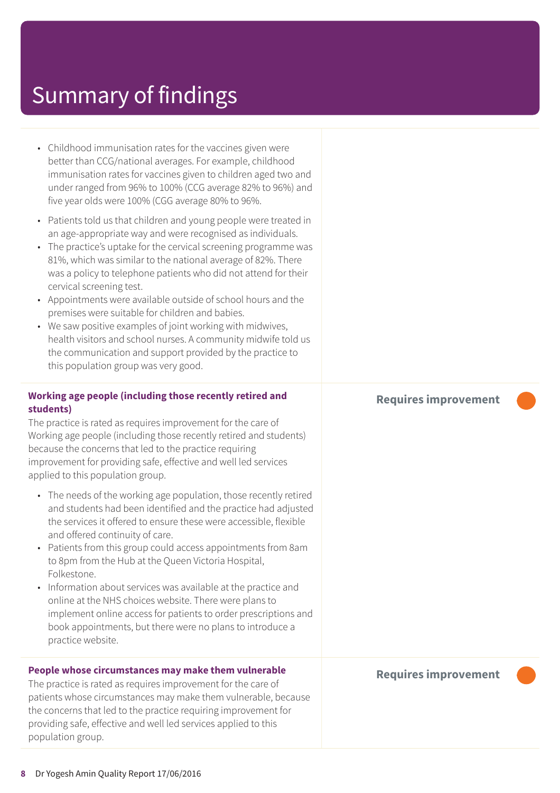- Childhood immunisation rates for the vaccines given were better than CCG/national averages. For example, childhood immunisation rates for vaccines given to children aged two and under ranged from 96% to 100% (CCG average 82% to 96%) and five year olds were 100% (CGG average 80% to 96%.
- Patients told us that children and young people were treated in an age-appropriate way and were recognised as individuals.
- The practice's uptake for the cervical screening programme was 81%, which was similar to the national average of 82%. There was a policy to telephone patients who did not attend for their cervical screening test.
- Appointments were available outside of school hours and the premises were suitable for children and babies.
- We saw positive examples of joint working with midwives, health visitors and school nurses. A community midwife told us the communication and support provided by the practice to this population group was very good.

#### **Working age people (including those recently retired and students)**

The practice is rated as requires improvement for the care of Working age people (including those recently retired and students) because the concerns that led to the practice requiring improvement for providing safe, effective and well led services applied to this population group.

- The needs of the working age population, those recently retired and students had been identified and the practice had adjusted the services it offered to ensure these were accessible, flexible and offered continuity of care.
- Patients from this group could access appointments from 8am to 8pm from the Hub at the Queen Victoria Hospital, Folkestone.
- Information about services was available at the practice and online at the NHS choices website. There were plans to implement online access for patients to order prescriptions and book appointments, but there were no plans to introduce a practice website.

#### **People whose circumstances may make them vulnerable**

The practice is rated as requires improvement for the care of patients whose circumstances may make them vulnerable, because the concerns that led to the practice requiring improvement for providing safe, effective and well led services applied to this population group.

#### **Requires improvement –––**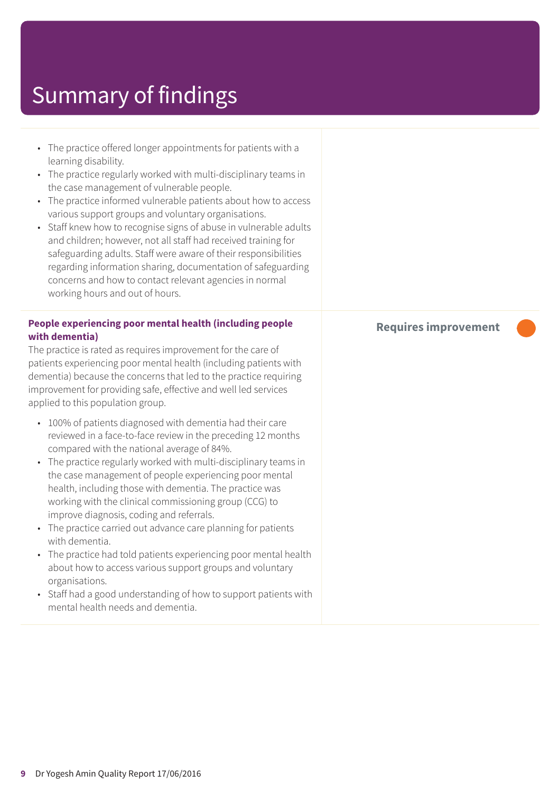| • The practice offered longer appointments for patients with a<br>learning disability.<br>The practice regularly worked with multi-disciplinary teams in<br>$\bullet$<br>the case management of vulnerable people.<br>The practice informed vulnerable patients about how to access<br>various support groups and voluntary organisations.<br>Staff knew how to recognise signs of abuse in vulnerable adults<br>and children; however, not all staff had received training for<br>safeguarding adults. Staff were aware of their responsibilities<br>regarding information sharing, documentation of safeguarding<br>concerns and how to contact relevant agencies in normal<br>working hours and out of hours. |                     |
|------------------------------------------------------------------------------------------------------------------------------------------------------------------------------------------------------------------------------------------------------------------------------------------------------------------------------------------------------------------------------------------------------------------------------------------------------------------------------------------------------------------------------------------------------------------------------------------------------------------------------------------------------------------------------------------------------------------|---------------------|
| People experiencing poor mental health (including people<br>with dementia)<br>The practice is rated as requires improvement for the care of<br>patients experiencing poor mental health (including patients with<br>dementia) because the concerns that led to the practice requiring<br>improvement for providing safe, effective and well led services<br>applied to this population group.                                                                                                                                                                                                                                                                                                                    | <b>Requires imp</b> |
| 100% of patients diagnosed with dementia had their care<br>$\bullet$<br>reviewed in a face-to-face review in the preceding 12 months<br>compared with the national average of 84%.<br>The practice regularly worked with multi-disciplinary teams in<br>the case management of people experiencing poor mental<br>health, including those with dementia. The practice was<br>working with the clinical commissioning group (CCG) to<br>improve diagnosis, coding and referrals.<br>The practice carried out advance care planning for patients<br>$\bullet$<br>with dementia.<br>The practice had told patients experiencing poor mental health<br>$\bullet$                                                     |                     |

organisations. • Staff had a good understanding of how to support patients with mental health needs and dementia.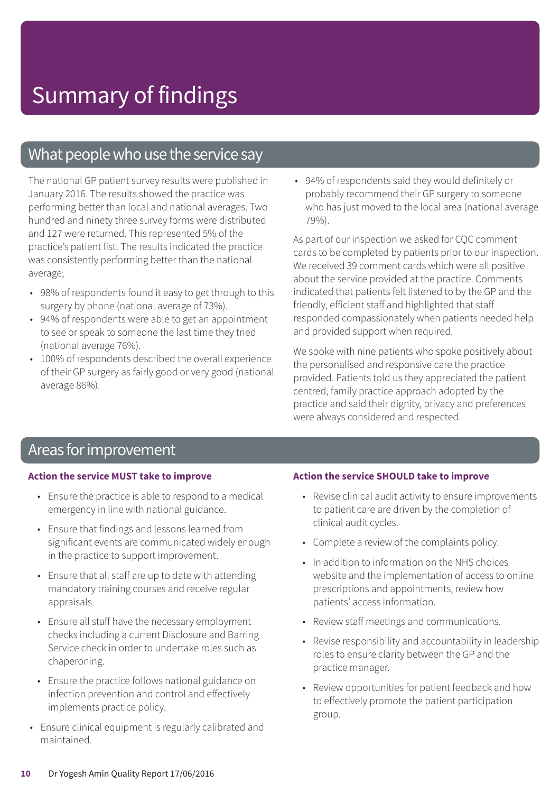### What people who use the service say

The national GP patient survey results were published in January 2016. The results showed the practice was performing better than local and national averages. Two hundred and ninety three survey forms were distributed and 127 were returned. This represented 5% of the practice's patient list. The results indicated the practice was consistently performing better than the national average;

- 98% of respondents found it easy to get through to this surgery by phone (national average of 73%).
- 94% of respondents were able to get an appointment to see or speak to someone the last time they tried (national average 76%).
- 100% of respondents described the overall experience of their GP surgery as fairly good or very good (national average 86%).

• 94% of respondents said they would definitely or probably recommend their GP surgery to someone who has just moved to the local area (national average 79%).

As part of our inspection we asked for CQC comment cards to be completed by patients prior to our inspection. We received 39 comment cards which were all positive about the service provided at the practice. Comments indicated that patients felt listened to by the GP and the friendly, efficient staff and highlighted that staff responded compassionately when patients needed help and provided support when required.

We spoke with nine patients who spoke positively about the personalised and responsive care the practice provided. Patients told us they appreciated the patient centred, family practice approach adopted by the practice and said their dignity, privacy and preferences were always considered and respected.

### Areas for improvement

#### **Action the service MUST take to improve**

- Ensure the practice is able to respond to a medical emergency in line with national guidance.
- Ensure that findings and lessons learned from significant events are communicated widely enough in the practice to support improvement.
- Ensure that all staff are up to date with attending mandatory training courses and receive regular appraisals.
- Ensure all staff have the necessary employment checks including a current Disclosure and Barring Service check in order to undertake roles such as chaperoning.
- Ensure the practice follows national guidance on infection prevention and control and effectively implements practice policy.
- Ensure clinical equipment is regularly calibrated and maintained.

#### **Action the service SHOULD take to improve**

- Revise clinical audit activity to ensure improvements to patient care are driven by the completion of clinical audit cycles.
- Complete a review of the complaints policy.
- In addition to information on the NHS choices website and the implementation of access to online prescriptions and appointments, review how patients' access information.
- Review staff meetings and communications.
- Revise responsibility and accountability in leadership roles to ensure clarity between the GP and the practice manager.
- Review opportunities for patient feedback and how to effectively promote the patient participation group.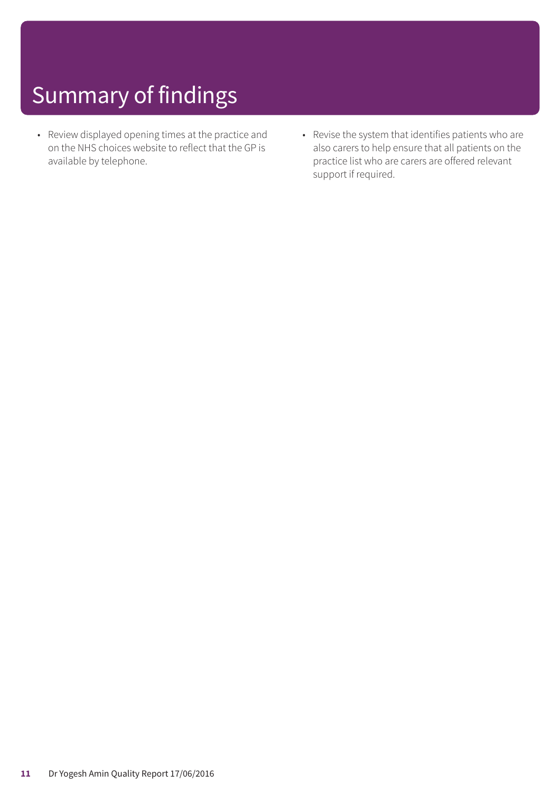- Review displayed opening times at the practice and on the NHS choices website to reflect that the GP is available by telephone.
- Revise the system that identifies patients who are also carers to help ensure that all patients on the practice list who are carers are offered relevant support if required.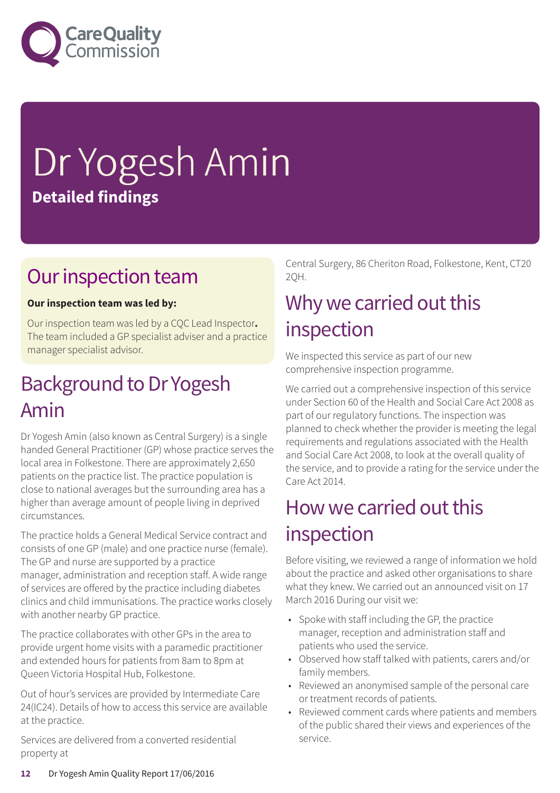

# Dr Yogesh Amin **Detailed findings**

### Our inspection team

### **Our inspection team was led by:**

Our inspection team was led by a CQC Lead Inspector**.** The team included a GP specialist adviser and a practice manager specialist advisor.

### Background to Dr Yogesh Amin

Dr Yogesh Amin (also known as Central Surgery) is a single handed General Practitioner (GP) whose practice serves the local area in Folkestone. There are approximately 2,650 patients on the practice list. The practice population is close to national averages but the surrounding area has a higher than average amount of people living in deprived circumstances.

The practice holds a General Medical Service contract and consists of one GP (male) and one practice nurse (female). The GP and nurse are supported by a practice manager, administration and reception staff. A wide range of services are offered by the practice including diabetes clinics and child immunisations. The practice works closely with another nearby GP practice.

The practice collaborates with other GPs in the area to provide urgent home visits with a paramedic practitioner and extended hours for patients from 8am to 8pm at Queen Victoria Hospital Hub, Folkestone.

Out of hour's services are provided by Intermediate Care 24(IC24). Details of how to access this service are available at the practice.

Services are delivered from a converted residential property at

Central Surgery, 86 Cheriton Road, Folkestone, Kent, CT20 2QH.

### Why we carried out this inspection

We inspected this service as part of our new comprehensive inspection programme.

We carried out a comprehensive inspection of this service under Section 60 of the Health and Social Care Act 2008 as part of our regulatory functions. The inspection was planned to check whether the provider is meeting the legal requirements and regulations associated with the Health and Social Care Act 2008, to look at the overall quality of the service, and to provide a rating for the service under the Care Act 2014.

### How we carried out this inspection

Before visiting, we reviewed a range of information we hold about the practice and asked other organisations to share what they knew. We carried out an announced visit on 17 March 2016 During our visit we:

- Spoke with staff including the GP, the practice manager, reception and administration staff and patients who used the service.
- Observed how staff talked with patients, carers and/or family members.
- Reviewed an anonymised sample of the personal care or treatment records of patients.
- Reviewed comment cards where patients and members of the public shared their views and experiences of the service.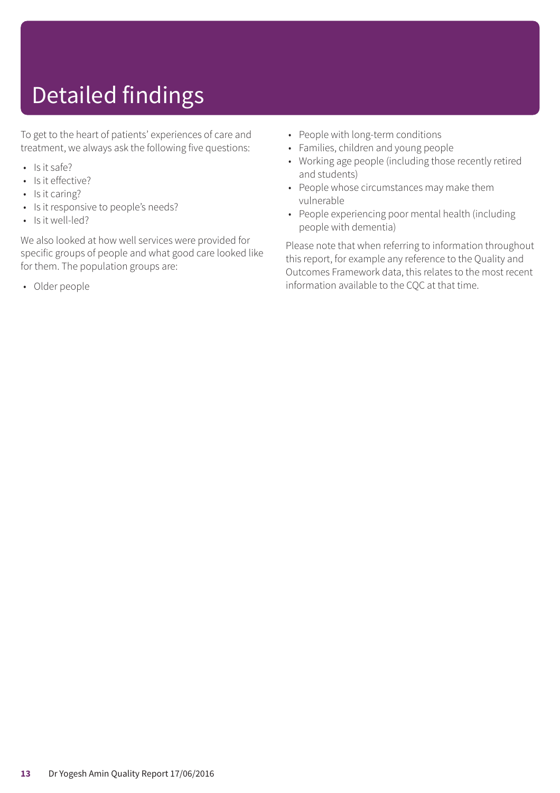## Detailed findings

To get to the heart of patients' experiences of care and treatment, we always ask the following five questions:

- Is it safe?
- Is it effective?
- Is it caring?
- Is it responsive to people's needs?
- Is it well-led?

We also looked at how well services were provided for specific groups of people and what good care looked like for them. The population groups are:

• Older people

- People with long-term conditions
- Families, children and young people
- Working age people (including those recently retired and students)
- People whose circumstances may make them vulnerable
- People experiencing poor mental health (including people with dementia)

Please note that when referring to information throughout this report, for example any reference to the Quality and Outcomes Framework data, this relates to the most recent information available to the CQC at that time.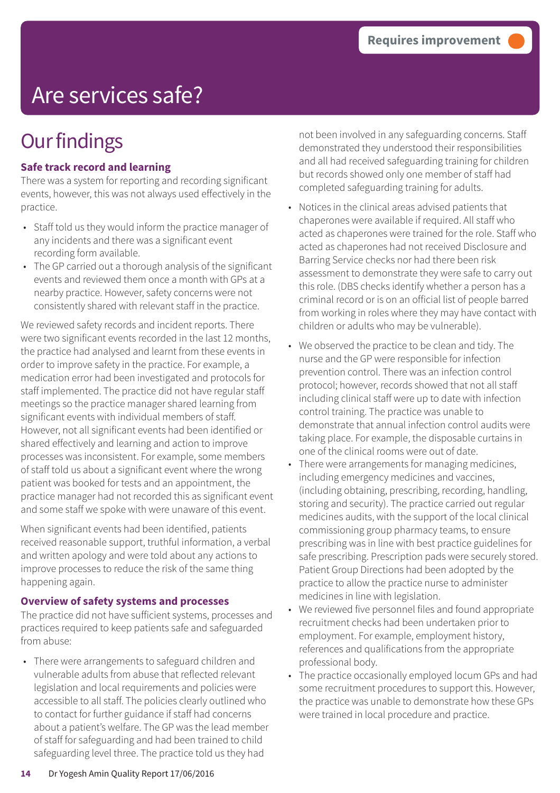## Are services safe?

## **Our findings**

### **Safe track record and learning**

There was a system for reporting and recording significant events, however, this was not always used effectively in the practice.

- Staff told us they would inform the practice manager of any incidents and there was a significant event recording form available.
- The GP carried out a thorough analysis of the significant events and reviewed them once a month with GPs at a nearby practice. However, safety concerns were not consistently shared with relevant staff in the practice.

We reviewed safety records and incident reports. There were two significant events recorded in the last 12 months, the practice had analysed and learnt from these events in order to improve safety in the practice. For example, a medication error had been investigated and protocols for staff implemented. The practice did not have regular staff meetings so the practice manager shared learning from significant events with individual members of staff. However, not all significant events had been identified or shared effectively and learning and action to improve processes was inconsistent. For example, some members of staff told us about a significant event where the wrong patient was booked for tests and an appointment, the practice manager had not recorded this as significant event and some staff we spoke with were unaware of this event.

When significant events had been identified, patients received reasonable support, truthful information, a verbal and written apology and were told about any actions to improve processes to reduce the risk of the same thing happening again.

#### **Overview of safety systems and processes**

The practice did not have sufficient systems, processes and practices required to keep patients safe and safeguarded from abuse:

• There were arrangements to safeguard children and vulnerable adults from abuse that reflected relevant legislation and local requirements and policies were accessible to all staff. The policies clearly outlined who to contact for further guidance if staff had concerns about a patient's welfare. The GP was the lead member of staff for safeguarding and had been trained to child safeguarding level three. The practice told us they had

not been involved in any safeguarding concerns. Staff demonstrated they understood their responsibilities and all had received safeguarding training for children but records showed only one member of staff had completed safeguarding training for adults.

- Notices in the clinical areas advised patients that chaperones were available if required. All staff who acted as chaperones were trained for the role. Staff who acted as chaperones had not received Disclosure and Barring Service checks nor had there been risk assessment to demonstrate they were safe to carry out this role. (DBS checks identify whether a person has a criminal record or is on an official list of people barred from working in roles where they may have contact with children or adults who may be vulnerable).
- We observed the practice to be clean and tidy. The nurse and the GP were responsible for infection prevention control. There was an infection control protocol; however, records showed that not all staff including clinical staff were up to date with infection control training. The practice was unable to demonstrate that annual infection control audits were taking place. For example, the disposable curtains in one of the clinical rooms were out of date.
- There were arrangements for managing medicines, including emergency medicines and vaccines, (including obtaining, prescribing, recording, handling, storing and security). The practice carried out regular medicines audits, with the support of the local clinical commissioning group pharmacy teams, to ensure prescribing was in line with best practice guidelines for safe prescribing. Prescription pads were securely stored. Patient Group Directions had been adopted by the practice to allow the practice nurse to administer medicines in line with legislation.
- We reviewed five personnel files and found appropriate recruitment checks had been undertaken prior to employment. For example, employment history, references and qualifications from the appropriate professional body.
- The practice occasionally employed locum GPs and had some recruitment procedures to support this. However, the practice was unable to demonstrate how these GPs were trained in local procedure and practice.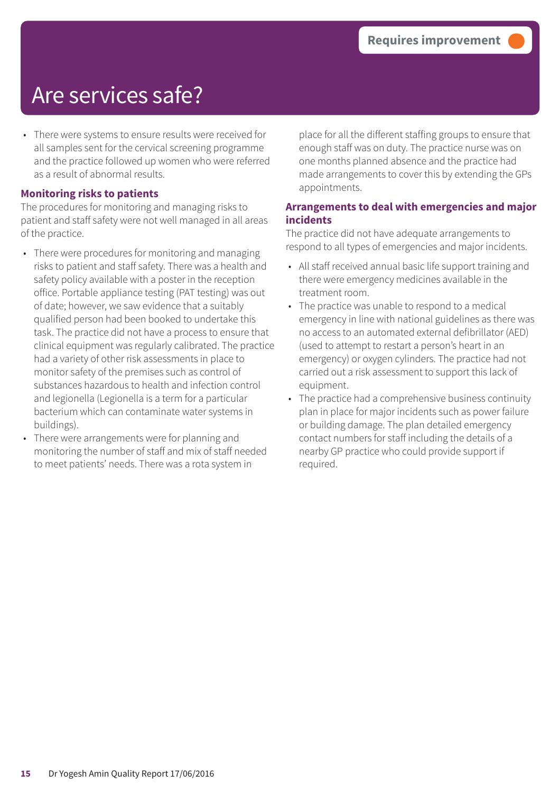### Are services safe?

• There were systems to ensure results were received for all samples sent for the cervical screening programme and the practice followed up women who were referred as a result of abnormal results.

#### **Monitoring risks to patients**

The procedures for monitoring and managing risks to patient and staff safety were not well managed in all areas of the practice.

- There were procedures for monitoring and managing risks to patient and staff safety. There was a health and safety policy available with a poster in the reception office. Portable appliance testing (PAT testing) was out of date; however, we saw evidence that a suitably qualified person had been booked to undertake this task. The practice did not have a process to ensure that clinical equipment was regularly calibrated. The practice had a variety of other risk assessments in place to monitor safety of the premises such as control of substances hazardous to health and infection control and legionella (Legionella is a term for a particular bacterium which can contaminate water systems in buildings).
- There were arrangements were for planning and monitoring the number of staff and mix of staff needed to meet patients' needs. There was a rota system in

place for all the different staffing groups to ensure that enough staff was on duty. The practice nurse was on one months planned absence and the practice had made arrangements to cover this by extending the GPs appointments.

### **Arrangements to deal with emergencies and major incidents**

The practice did not have adequate arrangements to respond to all types of emergencies and major incidents.

- All staff received annual basic life support training and there were emergency medicines available in the treatment room.
- The practice was unable to respond to a medical emergency in line with national guidelines as there was no access to an automated external defibrillator (AED) (used to attempt to restart a person's heart in an emergency) or oxygen cylinders. The practice had not carried out a risk assessment to support this lack of equipment.
- The practice had a comprehensive business continuity plan in place for major incidents such as power failure or building damage. The plan detailed emergency contact numbers for staff including the details of a nearby GP practice who could provide support if required.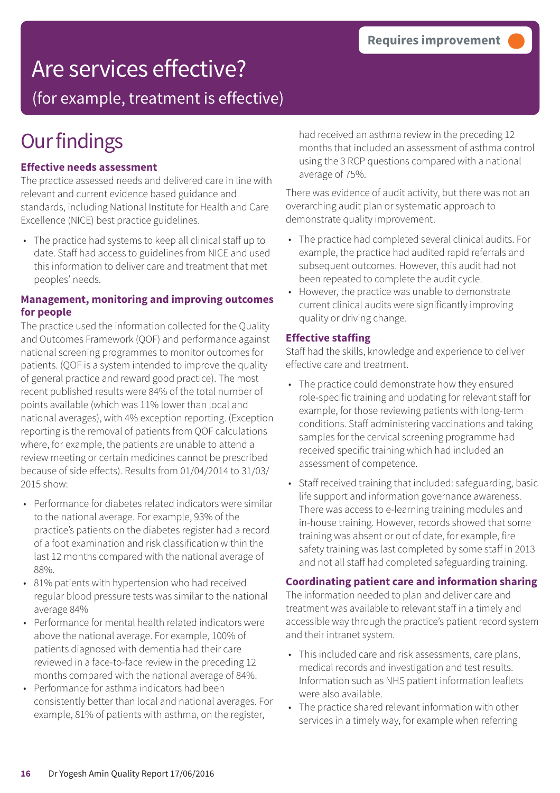## Are services effective?

(for example, treatment is effective)

## **Our findings**

### **Effective needs assessment**

The practice assessed needs and delivered care in line with relevant and current evidence based guidance and standards, including National Institute for Health and Care Excellence (NICE) best practice guidelines.

• The practice had systems to keep all clinical staff up to date. Staff had access to guidelines from NICE and used this information to deliver care and treatment that met peoples' needs.

#### **Management, monitoring and improving outcomes for people**

The practice used the information collected for the Quality and Outcomes Framework (QOF) and performance against national screening programmes to monitor outcomes for patients. (QOF is a system intended to improve the quality of general practice and reward good practice). The most recent published results were 84% of the total number of points available (which was 11% lower than local and national averages), with 4% exception reporting. (Exception reporting is the removal of patients from QOF calculations where, for example, the patients are unable to attend a review meeting or certain medicines cannot be prescribed because of side effects). Results from 01/04/2014 to 31/03/ 2015 show:

- Performance for diabetes related indicators were similar to the national average. For example, 93% of the practice's patients on the diabetes register had a record of a foot examination and risk classification within the last 12 months compared with the national average of 88%.
- 81% patients with hypertension who had received regular blood pressure tests was similar to the national average 84%
- Performance for mental health related indicators were above the national average. For example, 100% of patients diagnosed with dementia had their care reviewed in a face-to-face review in the preceding 12 months compared with the national average of 84%.
- Performance for asthma indicators had been consistently better than local and national averages. For example, 81% of patients with asthma, on the register,

had received an asthma review in the preceding 12 months that included an assessment of asthma control using the 3 RCP questions compared with a national average of 75%.

There was evidence of audit activity, but there was not an overarching audit plan or systematic approach to demonstrate quality improvement.

- The practice had completed several clinical audits. For example, the practice had audited rapid referrals and subsequent outcomes. However, this audit had not been repeated to complete the audit cycle.
- However, the practice was unable to demonstrate current clinical audits were significantly improving quality or driving change.

### **Effective staffing**

Staff had the skills, knowledge and experience to deliver effective care and treatment.

- The practice could demonstrate how they ensured role-specific training and updating for relevant staff for example, for those reviewing patients with long-term conditions. Staff administering vaccinations and taking samples for the cervical screening programme had received specific training which had included an assessment of competence.
- Staff received training that included: safeguarding, basic life support and information governance awareness. There was access to e-learning training modules and in-house training. However, records showed that some training was absent or out of date, for example, fire safety training was last completed by some staff in 2013 and not all staff had completed safeguarding training.

#### **Coordinating patient care and information sharing**

The information needed to plan and deliver care and treatment was available to relevant staff in a timely and accessible way through the practice's patient record system and their intranet system.

- This included care and risk assessments, care plans, medical records and investigation and test results. Information such as NHS patient information leaflets were also available.
- The practice shared relevant information with other services in a timely way, for example when referring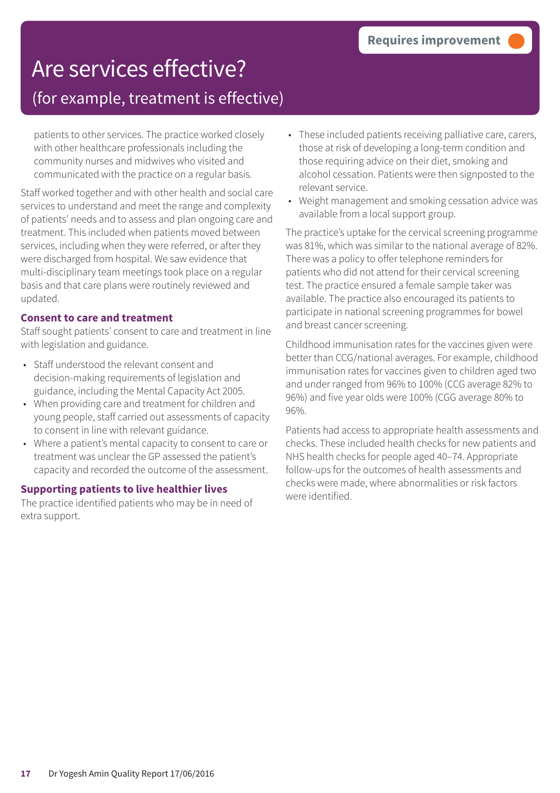### Are services effective? (for example, treatment is effective)

patients to other services. The practice worked closely with other healthcare professionals including the community nurses and midwives who visited and communicated with the practice on a regular basis.

Staff worked together and with other health and social care services to understand and meet the range and complexity of patients' needs and to assess and plan ongoing care and treatment. This included when patients moved between services, including when they were referred, or after they were discharged from hospital. We saw evidence that multi-disciplinary team meetings took place on a regular basis and that care plans were routinely reviewed and updated.

#### **Consent to care and treatment**

Staff sought patients' consent to care and treatment in line with legislation and guidance.

- Staff understood the relevant consent and decision-making requirements of legislation and guidance, including the Mental Capacity Act 2005.
- When providing care and treatment for children and young people, staff carried out assessments of capacity to consent in line with relevant guidance.
- Where a patient's mental capacity to consent to care or treatment was unclear the GP assessed the patient's capacity and recorded the outcome of the assessment.

#### **Supporting patients to live healthier lives**

The practice identified patients who may be in need of extra support.

- These included patients receiving palliative care, carers, those at risk of developing a long-term condition and those requiring advice on their diet, smoking and alcohol cessation. Patients were then signposted to the relevant service.
- Weight management and smoking cessation advice was available from a local support group.

The practice's uptake for the cervical screening programme was 81%, which was similar to the national average of 82%. There was a policy to offer telephone reminders for patients who did not attend for their cervical screening test. The practice ensured a female sample taker was available. The practice also encouraged its patients to participate in national screening programmes for bowel and breast cancer screening.

Childhood immunisation rates for the vaccines given were better than CCG/national averages. For example, childhood immunisation rates for vaccines given to children aged two and under ranged from 96% to 100% (CCG average 82% to 96%) and five year olds were 100% (CGG average 80% to 96%.

Patients had access to appropriate health assessments and checks. These included health checks for new patients and NHS health checks for people aged 40–74. Appropriate follow-ups for the outcomes of health assessments and checks were made, where abnormalities or risk factors were identified.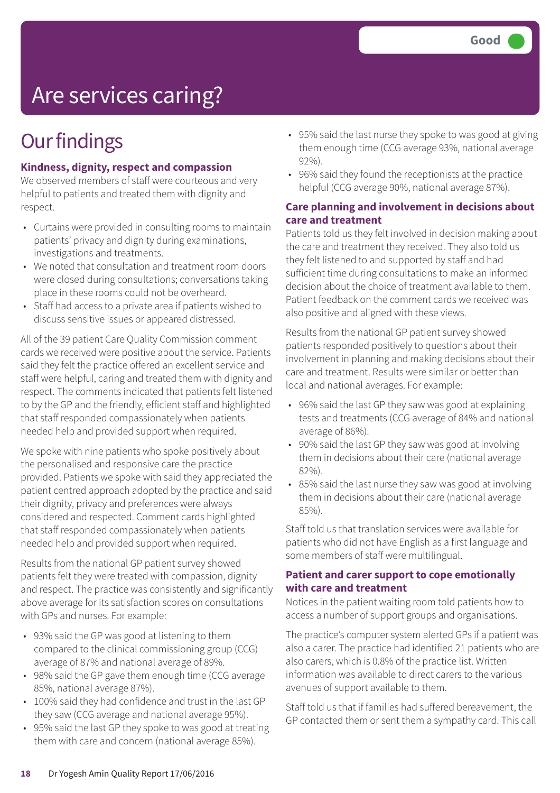## Are services caring?

### **Our findings**

### **Kindness, dignity, respect and compassion**

We observed members of staff were courteous and very helpful to patients and treated them with dignity and respect.

- Curtains were provided in consulting rooms to maintain patients' privacy and dignity during examinations, investigations and treatments.
- We noted that consultation and treatment room doors were closed during consultations; conversations taking place in these rooms could not be overheard.
- Staff had access to a private area if patients wished to discuss sensitive issues or appeared distressed.

All of the 39 patient Care Quality Commission comment cards we received were positive about the service. Patients said they felt the practice offered an excellent service and staff were helpful, caring and treated them with dignity and respect. The comments indicated that patients felt listened to by the GP and the friendly, efficient staff and highlighted that staff responded compassionately when patients needed help and provided support when required.

We spoke with nine patients who spoke positively about the personalised and responsive care the practice provided. Patients we spoke with said they appreciated the patient centred approach adopted by the practice and said their dignity, privacy and preferences were always considered and respected. Comment cards highlighted that staff responded compassionately when patients needed help and provided support when required.

Results from the national GP patient survey showed patients felt they were treated with compassion, dignity and respect. The practice was consistently and significantly above average for its satisfaction scores on consultations with GPs and nurses. For example:

- 93% said the GP was good at listening to them compared to the clinical commissioning group (CCG) average of 87% and national average of 89%.
- 98% said the GP gave them enough time (CCG average 85%, national average 87%).
- 100% said they had confidence and trust in the last GP they saw (CCG average and national average 95%).
- 95% said the last GP they spoke to was good at treating them with care and concern (national average 85%).
- 95% said the last nurse they spoke to was good at giving them enough time (CCG average 93%, national average 92%).
- 96% said they found the receptionists at the practice helpful (CCG average 90%, national average 87%).

### **Care planning and involvement in decisions about care and treatment**

Patients told us they felt involved in decision making about the care and treatment they received. They also told us they felt listened to and supported by staff and had sufficient time during consultations to make an informed decision about the choice of treatment available to them. Patient feedback on the comment cards we received was also positive and aligned with these views.

Results from the national GP patient survey showed patients responded positively to questions about their involvement in planning and making decisions about their care and treatment. Results were similar or better than local and national averages. For example:

- 96% said the last GP they saw was good at explaining tests and treatments (CCG average of 84% and national average of 86%).
- 90% said the last GP they saw was good at involving them in decisions about their care (national average 82%).
- 85% said the last nurse they saw was good at involving them in decisions about their care (national average 85%).

Staff told us that translation services were available for patients who did not have English as a first language and some members of staff were multilingual.

#### **Patient and carer support to cope emotionally with care and treatment**

Notices in the patient waiting room told patients how to access a number of support groups and organisations.

The practice's computer system alerted GPs if a patient was also a carer. The practice had identified 21 patients who are also carers, which is 0.8% of the practice list. Written information was available to direct carers to the various avenues of support available to them.

Staff told us that if families had suffered bereavement, the GP contacted them or sent them a sympathy card. This call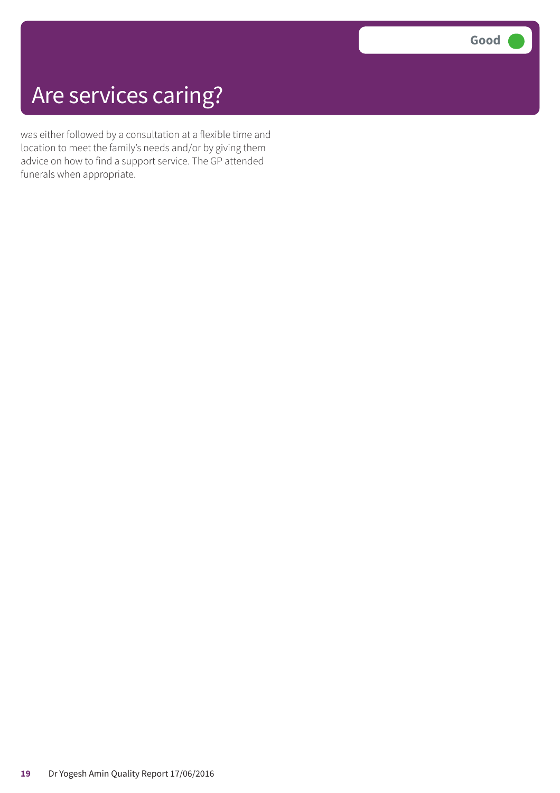## Are services caring?

was either followed by a consultation at a flexible time and location to meet the family's needs and/or by giving them advice on how to find a support service. The GP attended funerals when appropriate.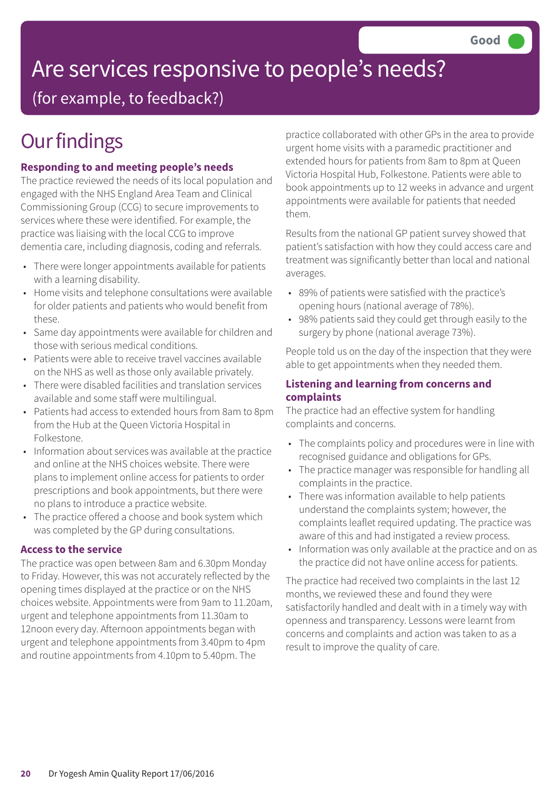## Are services responsive to people's needs?

(for example, to feedback?)

## **Our findings**

### **Responding to and meeting people's needs**

The practice reviewed the needs of its local population and engaged with the NHS England Area Team and Clinical Commissioning Group (CCG) to secure improvements to services where these were identified. For example, the practice was liaising with the local CCG to improve dementia care, including diagnosis, coding and referrals.

- There were longer appointments available for patients with a learning disability.
- Home visits and telephone consultations were available for older patients and patients who would benefit from these.
- Same day appointments were available for children and those with serious medical conditions.
- Patients were able to receive travel vaccines available on the NHS as well as those only available privately.
- There were disabled facilities and translation services available and some staff were multilingual.
- Patients had access to extended hours from 8am to 8pm from the Hub at the Queen Victoria Hospital in Folkestone.
- Information about services was available at the practice and online at the NHS choices website. There were plans to implement online access for patients to order prescriptions and book appointments, but there were no plans to introduce a practice website.
- The practice offered a choose and book system which was completed by the GP during consultations.

#### **Access to the service**

The practice was open between 8am and 6.30pm Monday to Friday. However, this was not accurately reflected by the opening times displayed at the practice or on the NHS choices website. Appointments were from 9am to 11.20am, urgent and telephone appointments from 11.30am to 12noon every day. Afternoon appointments began with urgent and telephone appointments from 3.40pm to 4pm and routine appointments from 4.10pm to 5.40pm. The

practice collaborated with other GPs in the area to provide urgent home visits with a paramedic practitioner and extended hours for patients from 8am to 8pm at Queen Victoria Hospital Hub, Folkestone. Patients were able to book appointments up to 12 weeks in advance and urgent appointments were available for patients that needed them.

Results from the national GP patient survey showed that patient's satisfaction with how they could access care and treatment was significantly better than local and national averages.

- 89% of patients were satisfied with the practice's opening hours (national average of 78%).
- 98% patients said they could get through easily to the surgery by phone (national average 73%).

People told us on the day of the inspection that they were able to get appointments when they needed them.

#### **Listening and learning from concerns and complaints**

The practice had an effective system for handling complaints and concerns.

- The complaints policy and procedures were in line with recognised guidance and obligations for GPs.
- The practice manager was responsible for handling all complaints in the practice.
- There was information available to help patients understand the complaints system; however, the complaints leaflet required updating. The practice was aware of this and had instigated a review process.
- Information was only available at the practice and on as the practice did not have online access for patients.

The practice had received two complaints in the last 12 months, we reviewed these and found they were satisfactorily handled and dealt with in a timely way with openness and transparency. Lessons were learnt from concerns and complaints and action was taken to as a result to improve the quality of care.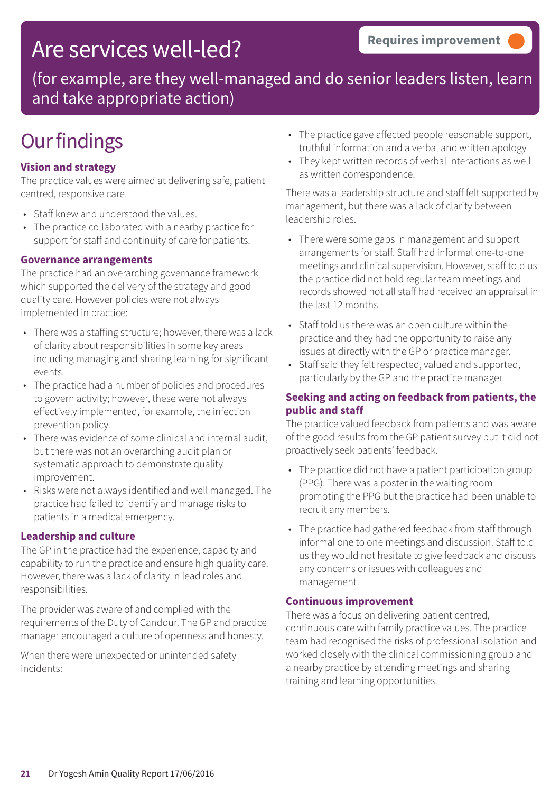### Are services well-led?

(for example, are they well-managed and do senior leaders listen, learn and take appropriate action)

### **Our findings**

### **Vision and strategy**

The practice values were aimed at delivering safe, patient centred, responsive care.

- Staff knew and understood the values.
- The practice collaborated with a nearby practice for support for staff and continuity of care for patients.

#### **Governance arrangements**

The practice had an overarching governance framework which supported the delivery of the strategy and good quality care. However policies were not always implemented in practice:

- There was a staffing structure; however, there was a lack of clarity about responsibilities in some key areas including managing and sharing learning for significant events.
- The practice had a number of policies and procedures to govern activity; however, these were not always effectively implemented, for example, the infection prevention policy.
- There was evidence of some clinical and internal audit, but there was not an overarching audit plan or systematic approach to demonstrate quality improvement.
- Risks were not always identified and well managed. The practice had failed to identify and manage risks to patients in a medical emergency.

#### **Leadership and culture**

The GP in the practice had the experience, capacity and capability to run the practice and ensure high quality care. However, there was a lack of clarity in lead roles and responsibilities.

The provider was aware of and complied with the requirements of the Duty of Candour. The GP and practice manager encouraged a culture of openness and honesty.

When there were unexpected or unintended safety incidents:

- The practice gave affected people reasonable support, truthful information and a verbal and written apology
- They kept written records of verbal interactions as well as written correspondence.

There was a leadership structure and staff felt supported by management, but there was a lack of clarity between leadership roles.

- There were some gaps in management and support arrangements for staff. Staff had informal one-to-one meetings and clinical supervision. However, staff told us the practice did not hold regular team meetings and records showed not all staff had received an appraisal in the last 12 months.
- Staff told us there was an open culture within the practice and they had the opportunity to raise any issues at directly with the GP or practice manager.
- Staff said they felt respected, valued and supported, particularly by the GP and the practice manager.

### **Seeking and acting on feedback from patients, the public and staff**

The practice valued feedback from patients and was aware of the good results from the GP patient survey but it did not proactively seek patients' feedback.

- The practice did not have a patient participation group (PPG). There was a poster in the waiting room promoting the PPG but the practice had been unable to recruit any members.
- The practice had gathered feedback from staff through informal one to one meetings and discussion. Staff told us they would not hesitate to give feedback and discuss any concerns or issues with colleagues and management.

#### **Continuous improvement**

There was a focus on delivering patient centred, continuous care with family practice values. The practice team had recognised the risks of professional isolation and worked closely with the clinical commissioning group and a nearby practice by attending meetings and sharing training and learning opportunities.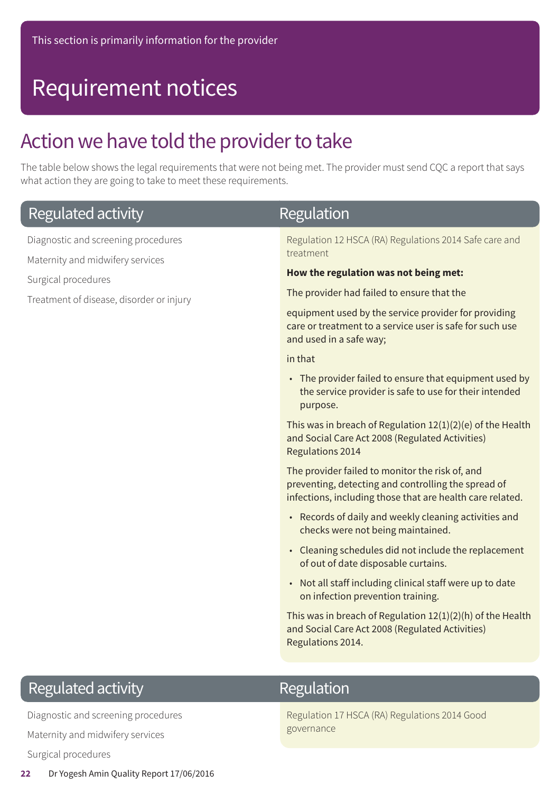## Requirement notices

### Action we have told the provider to take

The table below shows the legal requirements that were not being met. The provider must send CQC a report that says what action they are going to take to meet these requirements.

| Regulated activity                                                                                                                         | <b>Regulation</b>                                                                                                                                                   |
|--------------------------------------------------------------------------------------------------------------------------------------------|---------------------------------------------------------------------------------------------------------------------------------------------------------------------|
| Diagnostic and screening procedures<br>Maternity and midwifery services<br>Surgical procedures<br>Treatment of disease, disorder or injury | Regulation 12 HSCA (RA) Regulations 2014 Safe care and<br>treatment                                                                                                 |
|                                                                                                                                            | How the regulation was not being met:                                                                                                                               |
|                                                                                                                                            | The provider had failed to ensure that the                                                                                                                          |
|                                                                                                                                            | equipment used by the service provider for providing<br>care or treatment to a service user is safe for such use<br>and used in a safe way;                         |
|                                                                                                                                            | in that                                                                                                                                                             |
|                                                                                                                                            | • The provider failed to ensure that equipment used by<br>the service provider is safe to use for their intended<br>purpose.                                        |
|                                                                                                                                            | This was in breach of Regulation $12(1)(2)(e)$ of the Health<br>and Social Care Act 2008 (Regulated Activities)<br><b>Regulations 2014</b>                          |
|                                                                                                                                            | The provider failed to monitor the risk of, and<br>preventing, detecting and controlling the spread of<br>infections, including those that are health care related. |
|                                                                                                                                            | • Records of daily and weekly cleaning activities and<br>checks were not being maintained.                                                                          |
|                                                                                                                                            | • Cleaning schedules did not include the replacement<br>of out of date disposable curtains.                                                                         |
|                                                                                                                                            | • Not all staff including clinical staff were up to date<br>on infection prevention training.                                                                       |
|                                                                                                                                            | This was in breach of Regulation $12(1)(2)(h)$ of the Health<br>and Social Care Act 2008 (Regulated Activities)<br>Regulations 2014.                                |
|                                                                                                                                            |                                                                                                                                                                     |
| Regulated activity                                                                                                                         | Regulation                                                                                                                                                          |

Diagnostic and screening procedures Maternity and midwifery services Surgical procedures

### Regulation

Regulation 17 HSCA (RA) Regulations 2014 Good governance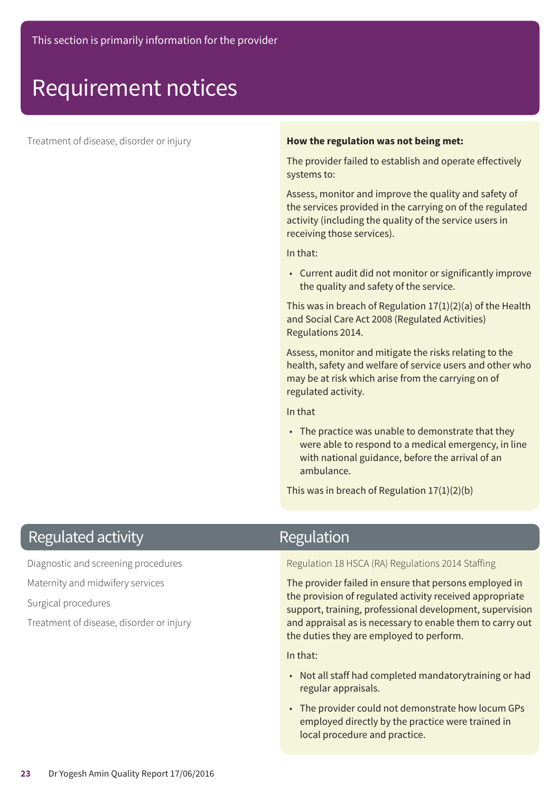### Requirement notices

#### **How the regulation was not being met: How the regulation was not being met:**

The provider failed to establish and operate effectively systems to:

Assess, monitor and improve the quality and safety of the services provided in the carrying on of the regulated activity (including the quality of the service users in receiving those services).

In that:

• Current audit did not monitor or significantly improve the quality and safety of the service.

This was in breach of Regulation 17(1)(2)(a) of the Health and Social Care Act 2008 (Regulated Activities) Regulations 2014.

Assess, monitor and mitigate the risks relating to the health, safety and welfare of service users and other who may be at risk which arise from the carrying on of regulated activity.

In that

• The practice was unable to demonstrate that they were able to respond to a medical emergency, in line with national guidance, before the arrival of an ambulance.

This was in breach of Regulation 17(1)(2)(b)

### **Regulated activity**

Diagnostic and screening procedures

Maternity and midwifery services

Surgical procedures

Treatment of disease, disorder or injury

### Regulation

Regulation 18 HSCA (RA) Regulations 2014 Staffing

The provider failed in ensure that persons employed in the provision of regulated activity received appropriate support, training, professional development, supervision and appraisal as is necessary to enable them to carry out the duties they are employed to perform.

In that:

- Not all staff had completed mandatorytraining or had regular appraisals.
- The provider could not demonstrate how locum GPs employed directly by the practice were trained in local procedure and practice.